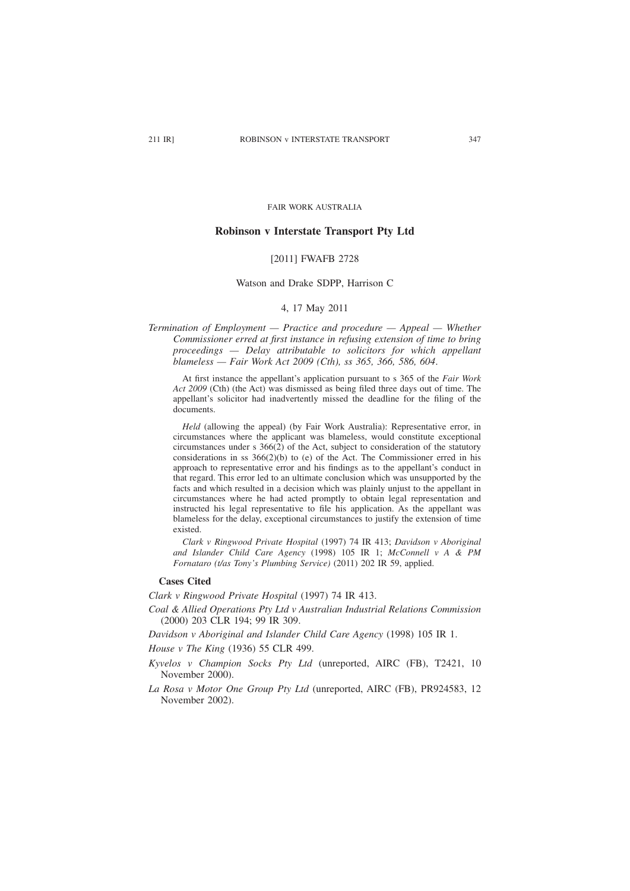FAIR WORK AUSTRALIA

## **Robinson v Interstate Transport Pty Ltd**

### [2011] FWAFB 2728

# Watson and Drake SDPP, Harrison C

# 4, 17 May 2011

*Termination of Employment — Practice and procedure — Appeal — Whether Commissioner erred at first instance in refusing extension of time to bring proceedings — Delay attributable to solicitors for which appellant blameless — Fair Work Act 2009 (Cth), ss 365, 366, 586, 604*.

At first instance the appellant's application pursuant to s 365 of the *Fair Work Act 2009* (Cth) (the Act) was dismissed as being filed three days out of time. The appellant's solicitor had inadvertently missed the deadline for the filing of the documents.

*Held* (allowing the appeal) (by Fair Work Australia): Representative error, in circumstances where the applicant was blameless, would constitute exceptional circumstances under s 366(2) of the Act, subject to consideration of the statutory considerations in ss  $366(2)(b)$  to (e) of the Act. The Commissioner erred in his approach to representative error and his findings as to the appellant's conduct in that regard. This error led to an ultimate conclusion which was unsupported by the facts and which resulted in a decision which was plainly unjust to the appellant in circumstances where he had acted promptly to obtain legal representation and instructed his legal representative to file his application. As the appellant was blameless for the delay, exceptional circumstances to justify the extension of time existed.

*Clark v Ringwood Private Hospital* (1997) 74 IR 413; *Davidson v Aboriginal and Islander Child Care Agency* (1998) 105 IR 1; *McConnell v A & PM Fornataro (t/as Tony's Plumbing Service)* (2011) 202 IR 59, applied.

#### **Cases Cited**

*Clark v Ringwood Private Hospital* (1997) 74 IR 413.

*Coal & Allied Operations Pty Ltd v Australian Industrial Relations Commission* (2000) 203 CLR 194; 99 IR 309.

*Davidson v Aboriginal and Islander Child Care Agency* (1998) 105 IR 1.

*House v The King* (1936) 55 CLR 499.

- *Kyvelos v Champion Socks Pty Ltd* (unreported, AIRC (FB), T2421, 10 November 2000).
- *La Rosa v Motor One Group Pty Ltd* (unreported, AIRC (FB), PR924583, 12 November 2002).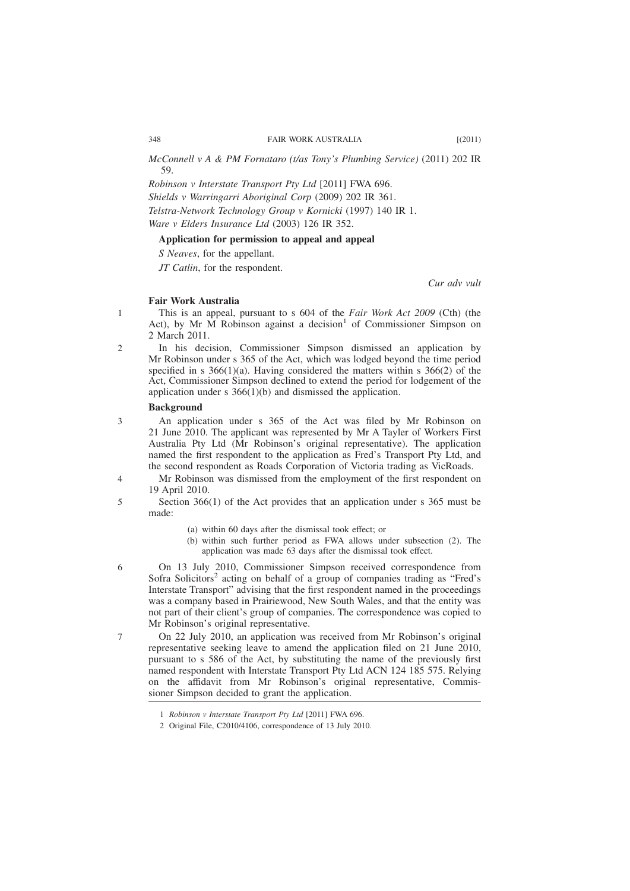### 348 FAIR WORK AUSTRALIA [(2011)

*McConnell v A & PM Fornataro (t/as Tony's Plumbing Service)* (2011) 202 IR 59.

*Robinson v Interstate Transport Pty Ltd* [2011] FWA 696. *Shields v Warringarri Aboriginal Corp* (2009) 202 IR 361. *Telstra-Network Technology Group v Kornicki* (1997) 140 IR 1. *Ware v Elders Insurance Ltd* (2003) 126 IR 352.

### **Application for permission to appeal and appeal**

*S Neaves*, for the appellant.

*JT Catlin*, for the respondent.

*Cur adv vult*

## **Fair Work Australia**

This is an appeal, pursuant to s 604 of the *Fair Work Act 2009* (Cth) (the Act), by Mr  $\overline{M}$  Robinson against a decision<sup>1</sup> of Commissioner Simpson on 2 March 2011.

In his decision, Commissioner Simpson dismissed an application by Mr Robinson under s 365 of the Act, which was lodged beyond the time period specified in s  $366(1)(a)$ . Having considered the matters within s  $366(2)$  of the Act, Commissioner Simpson declined to extend the period for lodgement of the application under s 366(1)(b) and dismissed the application.

## **Background**

- An application under s 365 of the Act was filed by Mr Robinson on 21 June 2010. The applicant was represented by Mr A Tayler of Workers First Australia Pty Ltd (Mr Robinson's original representative). The application named the first respondent to the application as Fred's Transport Pty Ltd, and the second respondent as Roads Corporation of Victoria trading as VicRoads.
- Mr Robinson was dismissed from the employment of the first respondent on 19 April 2010. 4
	- Section 366(1) of the Act provides that an application under s 365 must be made:
		- (a) within 60 days after the dismissal took effect; or
		- (b) within such further period as FWA allows under subsection (2). The application was made 63 days after the dismissal took effect.
	- On 13 July 2010, Commissioner Simpson received correspondence from Sofra Solicitors<sup>2</sup> acting on behalf of a group of companies trading as "Fred's Interstate Transport" advising that the first respondent named in the proceedings was a company based in Prairiewood, New South Wales, and that the entity was not part of their client's group of companies. The correspondence was copied to Mr Robinson's original representative.

On 22 July 2010, an application was received from Mr Robinson's original representative seeking leave to amend the application filed on 21 June 2010, pursuant to s 586 of the Act, by substituting the name of the previously first named respondent with Interstate Transport Pty Ltd ACN 124 185 575. Relying on the affidavit from Mr Robinson's original representative, Commissioner Simpson decided to grant the application.

1

2

3

5

6

7

<sup>1</sup> *Robinson v Interstate Transport Pty Ltd* [2011] FWA 696.

<sup>2</sup> Original File, C2010/4106, correspondence of 13 July 2010.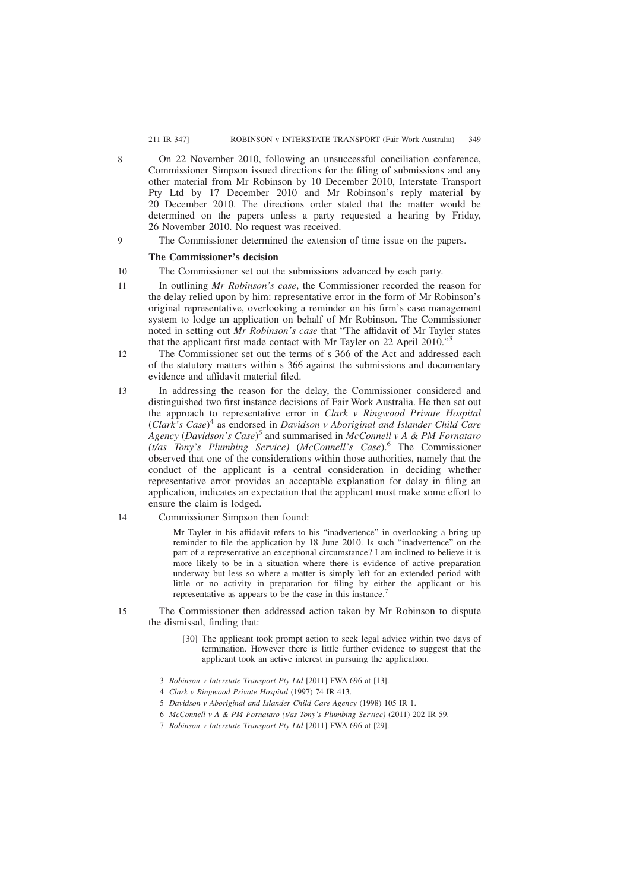### 211 IR 347] ROBINSON v INTERSTATE TRANSPORT (Fair Work Australia)

- On 22 November 2010, following an unsuccessful conciliation conference, Commissioner Simpson issued directions for the filing of submissions and any other material from Mr Robinson by 10 December 2010, Interstate Transport Pty Ltd by 17 December 2010 and Mr Robinson's reply material by 20 December 2010. The directions order stated that the matter would be determined on the papers unless a party requested a hearing by Friday, 26 November 2010. No request was received.
- The Commissioner determined the extension of time issue on the papers.

#### **The Commissioner's decision**

8

9

- The Commissioner set out the submissions advanced by each party. 10
- In outlining *Mr Robinson's case*, the Commissioner recorded the reason for the delay relied upon by him: representative error in the form of Mr Robinson's original representative, overlooking a reminder on his firm's case management system to lodge an application on behalf of Mr Robinson. The Commissioner noted in setting out *Mr Robinson's case* that "The affidavit of Mr Tayler states that the applicant first made contact with Mr Tayler on 22 April 2010."<sup>3</sup> 11
- The Commissioner set out the terms of s 366 of the Act and addressed each of the statutory matters within s 366 against the submissions and documentary evidence and affidavit material filed. 12
- In addressing the reason for the delay, the Commissioner considered and distinguished two first instance decisions of Fair Work Australia. He then set out the approach to representative error in *Clark v Ringwood Private Hospital* (*Clark's Case*) <sup>4</sup> as endorsed in *Davidson v Aboriginal and Islander Child Care Agency* (*Davidson's Case*) <sup>5</sup> and summarised in *McConnell v A & PM Fornataro (t/as Tony's Plumbing Service)* (*McConnell's Case*).<sup>6</sup> The Commissioner observed that one of the considerations within those authorities, namely that the conduct of the applicant is a central consideration in deciding whether representative error provides an acceptable explanation for delay in filing an application, indicates an expectation that the applicant must make some effort to ensure the claim is lodged. 13
- Commissioner Simpson then found: 14

Mr Tayler in his affidavit refers to his "inadvertence" in overlooking a bring up reminder to file the application by 18 June 2010. Is such "inadvertence" on the part of a representative an exceptional circumstance? I am inclined to believe it is more likely to be in a situation where there is evidence of active preparation underway but less so where a matter is simply left for an extended period with little or no activity in preparation for filing by either the applicant or his representative as appears to be the case in this instance.

- The Commissioner then addressed action taken by Mr Robinson to dispute the dismissal, finding that: 15
	- [30] The applicant took prompt action to seek legal advice within two days of termination. However there is little further evidence to suggest that the applicant took an active interest in pursuing the application.

<sup>3</sup> *Robinson v Interstate Transport Pty Ltd* [2011] FWA 696 at [13].

<sup>4</sup> *Clark v Ringwood Private Hospital* (1997) 74 IR 413.

<sup>5</sup> *Davidson v Aboriginal and Islander Child Care Agency* (1998) 105 IR 1.

<sup>6</sup> *McConnell v A & PM Fornataro (t/as Tony's Plumbing Service)* (2011) 202 IR 59.

<sup>7</sup> *Robinson v Interstate Transport Pty Ltd* [2011] FWA 696 at [29].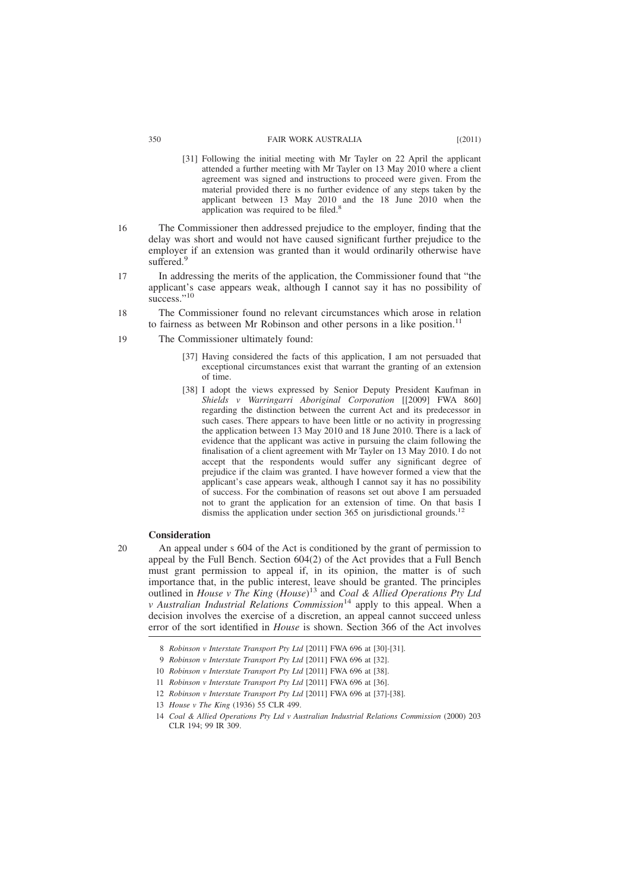#### 350 FAIR WORK AUSTRALIA [(2011)

- [31] Following the initial meeting with Mr Tayler on 22 April the applicant attended a further meeting with Mr Tayler on 13 May 2010 where a client agreement was signed and instructions to proceed were given. From the material provided there is no further evidence of any steps taken by the applicant between 13 May 2010 and the 18 June 2010 when the application was required to be filed.<sup>8</sup>
- The Commissioner then addressed prejudice to the employer, finding that the delay was short and would not have caused significant further prejudice to the employer if an extension was granted than it would ordinarily otherwise have suffered.<sup>9</sup> 16
- In addressing the merits of the application, the Commissioner found that "the applicant's case appears weak, although I cannot say it has no possibility of success."<sup>10</sup> 17
- The Commissioner found no relevant circumstances which arose in relation to fairness as between Mr Robinson and other persons in a like position.<sup>11</sup> 18
- The Commissioner ultimately found: 19
	- [37] Having considered the facts of this application, I am not persuaded that exceptional circumstances exist that warrant the granting of an extension of time.
	- [38] I adopt the views expressed by Senior Deputy President Kaufman in *Shields v Warringarri Aboriginal Corporation* [[2009] FWA 860] regarding the distinction between the current Act and its predecessor in such cases. There appears to have been little or no activity in progressing the application between 13 May 2010 and 18 June 2010. There is a lack of evidence that the applicant was active in pursuing the claim following the finalisation of a client agreement with Mr Tayler on 13 May 2010. I do not accept that the respondents would suffer any significant degree of prejudice if the claim was granted. I have however formed a view that the applicant's case appears weak, although I cannot say it has no possibility of success. For the combination of reasons set out above I am persuaded not to grant the application for an extension of time. On that basis I dismiss the application under section 365 on jurisdictional grounds.<sup>12</sup>

### **Consideration**

20

An appeal under s 604 of the Act is conditioned by the grant of permission to appeal by the Full Bench. Section 604(2) of the Act provides that a Full Bench must grant permission to appeal if, in its opinion, the matter is of such importance that, in the public interest, leave should be granted. The principles outlined in *House v The King* (*House*) <sup>13</sup> and *Coal & Allied Operations Pty Ltd v Australian Industrial Relations Commission*<sup>14</sup> apply to this appeal. When a decision involves the exercise of a discretion, an appeal cannot succeed unless error of the sort identified in *House* is shown. Section 366 of the Act involves

13 *House v The King* (1936) 55 CLR 499.

<sup>8</sup> *Robinson v Interstate Transport Pty Ltd* [2011] FWA 696 at [30]-[31].

<sup>9</sup> *Robinson v Interstate Transport Pty Ltd* [2011] FWA 696 at [32].

<sup>10</sup> *Robinson v Interstate Transport Pty Ltd* [2011] FWA 696 at [38].

<sup>11</sup> *Robinson v Interstate Transport Pty Ltd* [2011] FWA 696 at [36].

<sup>12</sup> *Robinson v Interstate Transport Pty Ltd* [2011] FWA 696 at [37]-[38].

<sup>14</sup> *Coal & Allied Operations Pty Ltd v Australian Industrial Relations Commission* (2000) 203 CLR 194; 99 IR 309.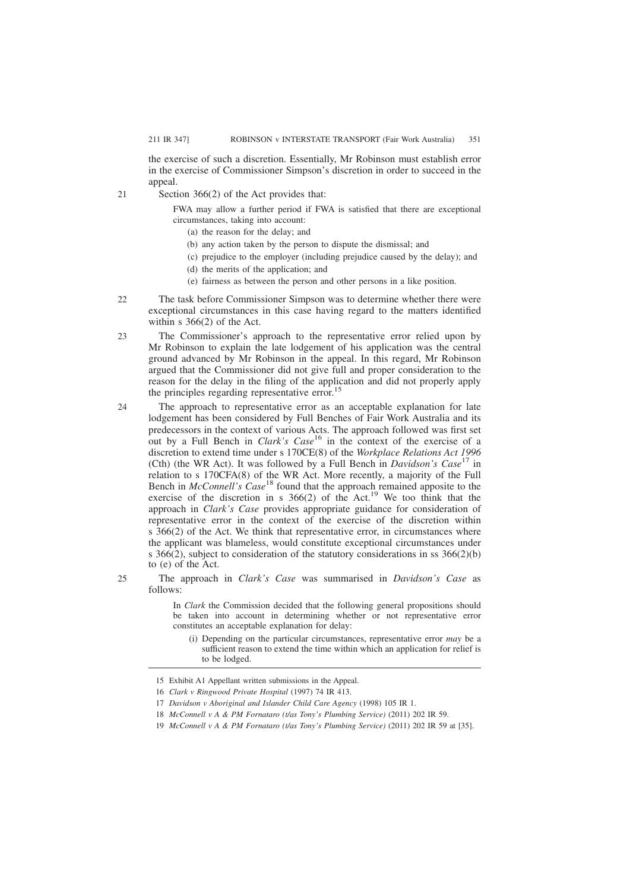the exercise of such a discretion. Essentially, Mr Robinson must establish error in the exercise of Commissioner Simpson's discretion in order to succeed in the appeal.

Section 366(2) of the Act provides that:

FWA may allow a further period if FWA is satisfied that there are exceptional circumstances, taking into account:

- (a) the reason for the delay; and
- (b) any action taken by the person to dispute the dismissal; and
- (c) prejudice to the employer (including prejudice caused by the delay); and
- (d) the merits of the application; and
- (e) fairness as between the person and other persons in a like position.
- The task before Commissioner Simpson was to determine whether there were exceptional circumstances in this case having regard to the matters identified within s 366(2) of the Act.  $22$
- The Commissioner's approach to the representative error relied upon by Mr Robinson to explain the late lodgement of his application was the central ground advanced by Mr Robinson in the appeal. In this regard, Mr Robinson argued that the Commissioner did not give full and proper consideration to the reason for the delay in the filing of the application and did not properly apply the principles regarding representative error.<sup>15</sup> 23
- The approach to representative error as an acceptable explanation for late lodgement has been considered by Full Benches of Fair Work Australia and its predecessors in the context of various Acts. The approach followed was first set out by a Full Bench in *Clark's Case*<sup>16</sup> in the context of the exercise of a discretion to extend time under s 170CE(8) of the *Workplace Relations Act 1996* (Cth) (the WR Act). It was followed by a Full Bench in *Davidson's Case*<sup>17</sup> in relation to s 170CFA(8) of the WR Act. More recently, a majority of the Full Bench in *McConnell's Case*<sup>18</sup> found that the approach remained apposite to the exercise of the discretion in s 366(2) of the Act.19 We too think that the approach in *Clark's Case* provides appropriate guidance for consideration of representative error in the context of the exercise of the discretion within s 366(2) of the Act. We think that representative error, in circumstances where the applicant was blameless, would constitute exceptional circumstances under s  $366(2)$ , subject to consideration of the statutory considerations in ss  $366(2)(b)$ to (e) of the Act. 24
	- The approach in *Clark's Case* was summarised in *Davidson's Case* as follows:
		- In *Clark* the Commission decided that the following general propositions should be taken into account in determining whether or not representative error constitutes an acceptable explanation for delay:
			- (i) Depending on the particular circumstances, representative error *may* be a sufficient reason to extend the time within which an application for relief is to be lodged.

 $21$ 

 $25$ 

<sup>15</sup> Exhibit A1 Appellant written submissions in the Appeal.

<sup>16</sup> *Clark v Ringwood Private Hospital* (1997) 74 IR 413.

<sup>17</sup> *Davidson v Aboriginal and Islander Child Care Agency* (1998) 105 IR 1.

<sup>18</sup> *McConnell v A & PM Fornataro (t/as Tony's Plumbing Service)* (2011) 202 IR 59.

<sup>19</sup> *McConnell v A & PM Fornataro (t/as Tony's Plumbing Service)* (2011) 202 IR 59 at [35].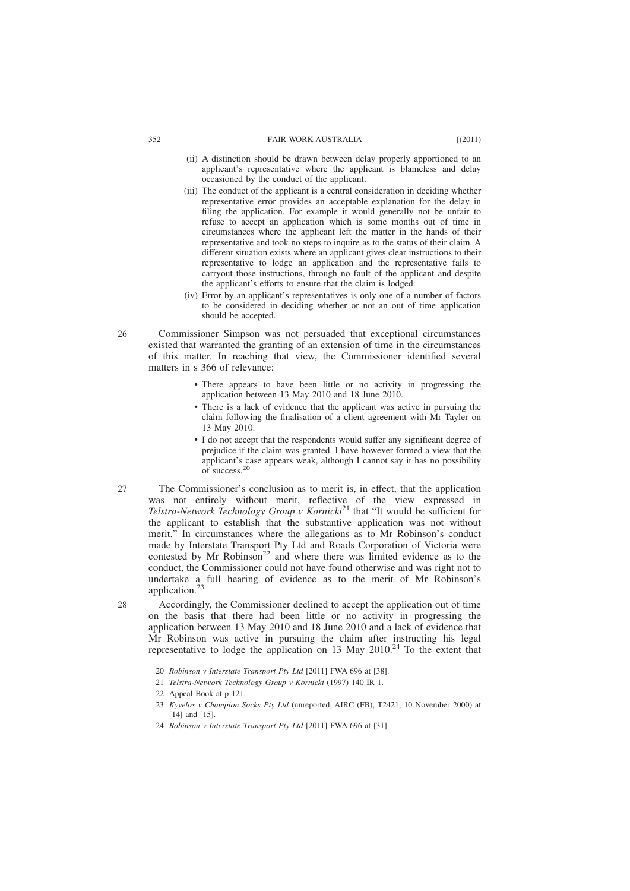#### 352 FAIR WORK AUSTRALIA [(2011)

- (ii) A distinction should be drawn between delay properly apportioned to an applicant's representative where the applicant is blameless and delay occasioned by the conduct of the applicant.
- (iii) The conduct of the applicant is a central consideration in deciding whether representative error provides an acceptable explanation for the delay in filing the application. For example it would generally not be unfair to refuse to accept an application which is some months out of time in circumstances where the applicant left the matter in the hands of their representative and took no steps to inquire as to the status of their claim. A different situation exists where an applicant gives clear instructions to their representative to lodge an application and the representative fails to carryout those instructions, through no fault of the applicant and despite the applicant's efforts to ensure that the claim is lodged.
- (iv) Error by an applicant's representatives is only one of a number of factors to be considered in deciding whether or not an out of time application should be accepted.
- Commissioner Simpson was not persuaded that exceptional circumstances existed that warranted the granting of an extension of time in the circumstances of this matter. In reaching that view, the Commissioner identified several matters in s 366 of relevance:  $26$ 
	- There appears to have been little or no activity in progressing the application between 13 May 2010 and 18 June 2010.
	- There is a lack of evidence that the applicant was active in pursuing the claim following the finalisation of a client agreement with Mr Tayler on 13 May 2010.
	- I do not accept that the respondents would suffer any significant degree of prejudice if the claim was granted. I have however formed a view that the applicant's case appears weak, although I cannot say it has no possibility of success.<sup>20</sup>
- The Commissioner's conclusion as to merit is, in effect, that the application was not entirely without merit, reflective of the view expressed in *Telstra-Network Technology Group v Kornicki*<sup>21</sup> that "It would be sufficient for the applicant to establish that the substantive application was not without merit." In circumstances where the allegations as to Mr Robinson's conduct made by Interstate Transport Pty Ltd and Roads Corporation of Victoria were contested by Mr Robinson<sup>22</sup> and where there was limited evidence as to the conduct, the Commissioner could not have found otherwise and was right not to undertake a full hearing of evidence as to the merit of Mr Robinson's application.<sup>23</sup> 27
	- Accordingly, the Commissioner declined to accept the application out of time on the basis that there had been little or no activity in progressing the application between 13 May 2010 and 18 June 2010 and a lack of evidence that Mr Robinson was active in pursuing the claim after instructing his legal representative to lodge the application on 13 May  $2010.<sup>24</sup>$  To the extent that

 $28$ 

<sup>20</sup> *Robinson v Interstate Transport Pty Ltd* [2011] FWA 696 at [38].

<sup>21</sup> *Telstra-Network Technology Group v Kornicki* (1997) 140 IR 1.

<sup>22</sup> Appeal Book at p 121.

<sup>23</sup> *Kyvelos v Champion Socks Pty Ltd* (unreported, AIRC (FB), T2421, 10 November 2000) at [14] and [15].

<sup>24</sup> *Robinson v Interstate Transport Pty Ltd* [2011] FWA 696 at [31].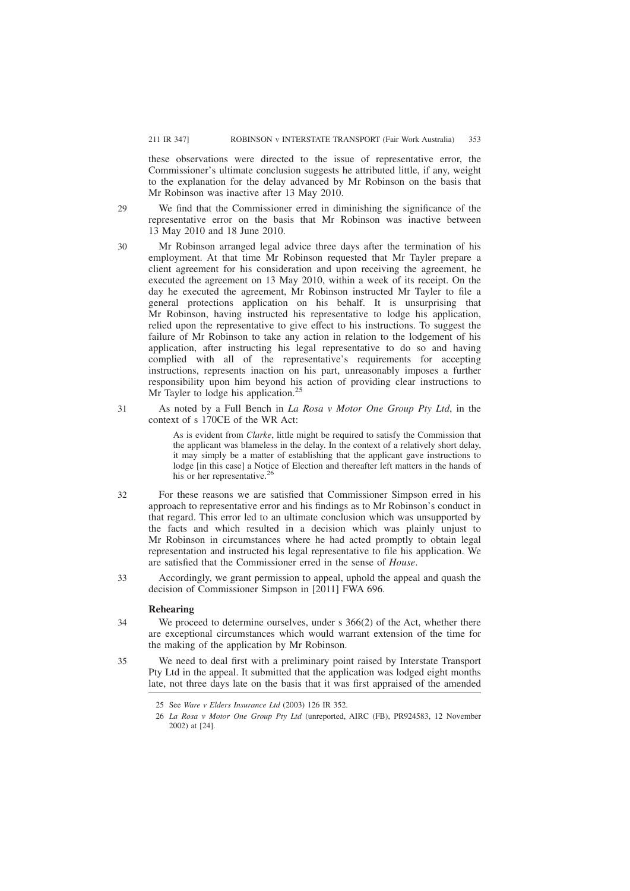these observations were directed to the issue of representative error, the Commissioner's ultimate conclusion suggests he attributed little, if any, weight to the explanation for the delay advanced by Mr Robinson on the basis that Mr Robinson was inactive after 13 May 2010.

- We find that the Commissioner erred in diminishing the significance of the representative error on the basis that Mr Robinson was inactive between 13 May 2010 and 18 June 2010. 29
- Mr Robinson arranged legal advice three days after the termination of his employment. At that time Mr Robinson requested that Mr Tayler prepare a client agreement for his consideration and upon receiving the agreement, he executed the agreement on 13 May 2010, within a week of its receipt. On the day he executed the agreement, Mr Robinson instructed Mr Tayler to file a general protections application on his behalf. It is unsurprising that Mr Robinson, having instructed his representative to lodge his application, relied upon the representative to give effect to his instructions. To suggest the failure of Mr Robinson to take any action in relation to the lodgement of his application, after instructing his legal representative to do so and having complied with all of the representative's requirements for accepting instructions, represents inaction on his part, unreasonably imposes a further responsibility upon him beyond his action of providing clear instructions to Mr Tayler to lodge his application.<sup>2</sup> 30
- As noted by a Full Bench in *La Rosa v Motor One Group Pty Ltd*, in the context of s 170CE of the WR Act: 31

As is evident from *Clarke*, little might be required to satisfy the Commission that the applicant was blameless in the delay. In the context of a relatively short delay, it may simply be a matter of establishing that the applicant gave instructions to lodge [in this case] a Notice of Election and thereafter left matters in the hands of his or her representative.<sup>26</sup>

- For these reasons we are satisfied that Commissioner Simpson erred in his approach to representative error and his findings as to Mr Robinson's conduct in that regard. This error led to an ultimate conclusion which was unsupported by the facts and which resulted in a decision which was plainly unjust to Mr Robinson in circumstances where he had acted promptly to obtain legal representation and instructed his legal representative to file his application. We are satisfied that the Commissioner erred in the sense of *House*. 32
- Accordingly, we grant permission to appeal, uphold the appeal and quash the decision of Commissioner Simpson in [2011] FWA 696. 33

## **Rehearing**

We proceed to determine ourselves, under s 366(2) of the Act, whether there are exceptional circumstances which would warrant extension of the time for the making of the application by Mr Robinson. 34

We need to deal first with a preliminary point raised by Interstate Transport Pty Ltd in the appeal. It submitted that the application was lodged eight months late, not three days late on the basis that it was first appraised of the amended 35

<sup>25</sup> See *Ware v Elders Insurance Ltd* (2003) 126 IR 352.

<sup>26</sup> *La Rosa v Motor One Group Pty Ltd* (unreported, AIRC (FB), PR924583, 12 November 2002) at [24].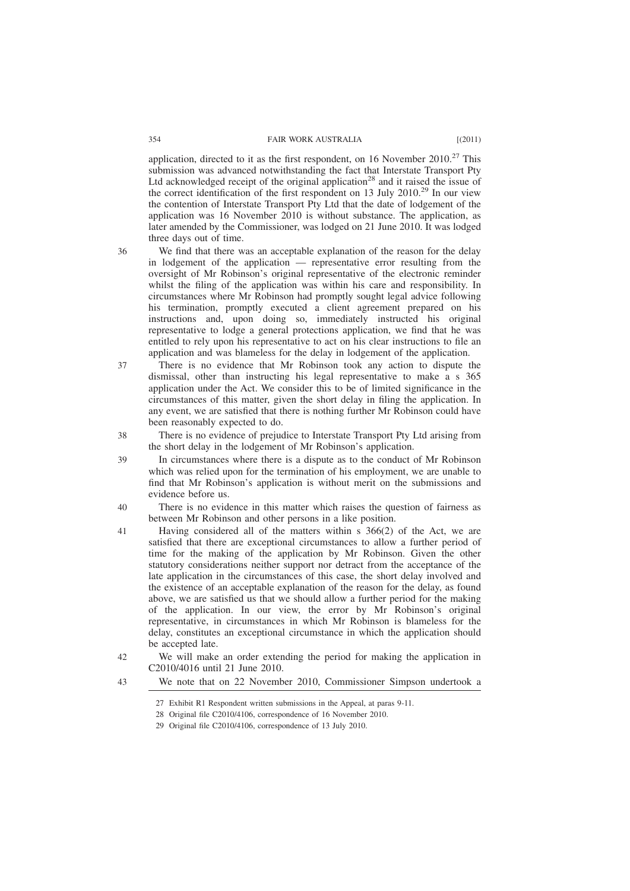application, directed to it as the first respondent, on 16 November  $2010$ .<sup>27</sup> This submission was advanced notwithstanding the fact that Interstate Transport Pty Ltd acknowledged receipt of the original application<sup>28</sup> and it raised the issue of the correct identification of the first respondent on 13 July 2010.<sup>29</sup> In our view the contention of Interstate Transport Pty Ltd that the date of lodgement of the application was 16 November 2010 is without substance. The application, as later amended by the Commissioner, was lodged on 21 June 2010. It was lodged three days out of time.

36

We find that there was an acceptable explanation of the reason for the delay in lodgement of the application — representative error resulting from the oversight of Mr Robinson's original representative of the electronic reminder whilst the filing of the application was within his care and responsibility. In circumstances where Mr Robinson had promptly sought legal advice following his termination, promptly executed a client agreement prepared on his instructions and, upon doing so, immediately instructed his original representative to lodge a general protections application, we find that he was entitled to rely upon his representative to act on his clear instructions to file an application and was blameless for the delay in lodgement of the application.

- There is no evidence that Mr Robinson took any action to dispute the dismissal, other than instructing his legal representative to make a s 365 application under the Act. We consider this to be of limited significance in the circumstances of this matter, given the short delay in filing the application. In any event, we are satisfied that there is nothing further Mr Robinson could have been reasonably expected to do. 37
- There is no evidence of prejudice to Interstate Transport Pty Ltd arising from the short delay in the lodgement of Mr Robinson's application. 38
- In circumstances where there is a dispute as to the conduct of Mr Robinson which was relied upon for the termination of his employment, we are unable to find that Mr Robinson's application is without merit on the submissions and evidence before us. 39
- There is no evidence in this matter which raises the question of fairness as between Mr Robinson and other persons in a like position.  $40$
- Having considered all of the matters within s 366(2) of the Act, we are satisfied that there are exceptional circumstances to allow a further period of time for the making of the application by Mr Robinson. Given the other statutory considerations neither support nor detract from the acceptance of the late application in the circumstances of this case, the short delay involved and the existence of an acceptable explanation of the reason for the delay, as found above, we are satisfied us that we should allow a further period for the making of the application. In our view, the error by Mr Robinson's original representative, in circumstances in which Mr Robinson is blameless for the delay, constitutes an exceptional circumstance in which the application should be accepted late. 41
- We will make an order extending the period for making the application in C2010/4016 until 21 June 2010.  $42$
- We note that on 22 November 2010, Commissioner Simpson undertook a  $\overline{43}$

<sup>27</sup> Exhibit R1 Respondent written submissions in the Appeal, at paras 9-11.

<sup>28</sup> Original file C2010/4106, correspondence of 16 November 2010. 29 Original file C2010/4106, correspondence of 13 July 2010.